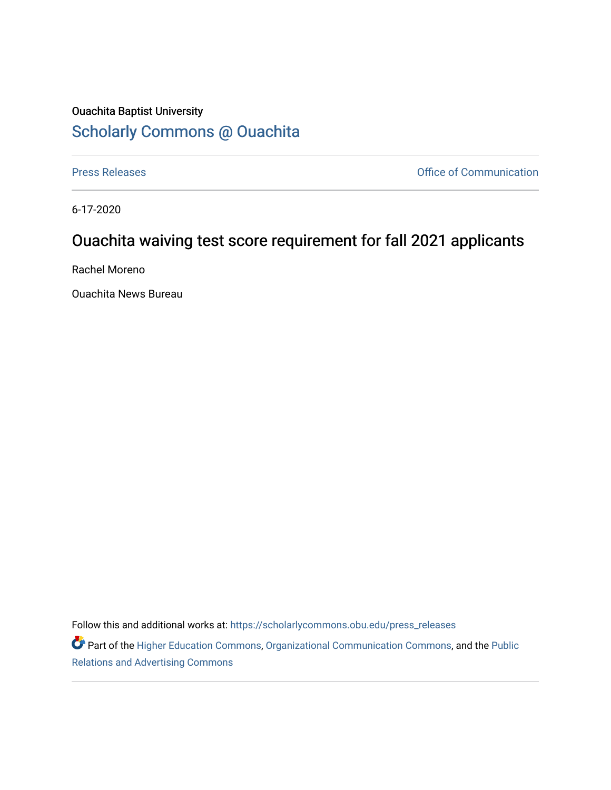## Ouachita Baptist University [Scholarly Commons @ Ouachita](https://scholarlycommons.obu.edu/)

[Press Releases](https://scholarlycommons.obu.edu/press_releases) **Press Releases Communication** 

6-17-2020

## Ouachita waiving test score requirement for fall 2021 applicants

Rachel Moreno

Ouachita News Bureau

Follow this and additional works at: [https://scholarlycommons.obu.edu/press\\_releases](https://scholarlycommons.obu.edu/press_releases?utm_source=scholarlycommons.obu.edu%2Fpress_releases%2F731&utm_medium=PDF&utm_campaign=PDFCoverPages)

Part of the [Higher Education Commons,](http://network.bepress.com/hgg/discipline/1245?utm_source=scholarlycommons.obu.edu%2Fpress_releases%2F731&utm_medium=PDF&utm_campaign=PDFCoverPages) [Organizational Communication Commons,](http://network.bepress.com/hgg/discipline/335?utm_source=scholarlycommons.obu.edu%2Fpress_releases%2F731&utm_medium=PDF&utm_campaign=PDFCoverPages) and the [Public](http://network.bepress.com/hgg/discipline/336?utm_source=scholarlycommons.obu.edu%2Fpress_releases%2F731&utm_medium=PDF&utm_campaign=PDFCoverPages) [Relations and Advertising Commons](http://network.bepress.com/hgg/discipline/336?utm_source=scholarlycommons.obu.edu%2Fpress_releases%2F731&utm_medium=PDF&utm_campaign=PDFCoverPages)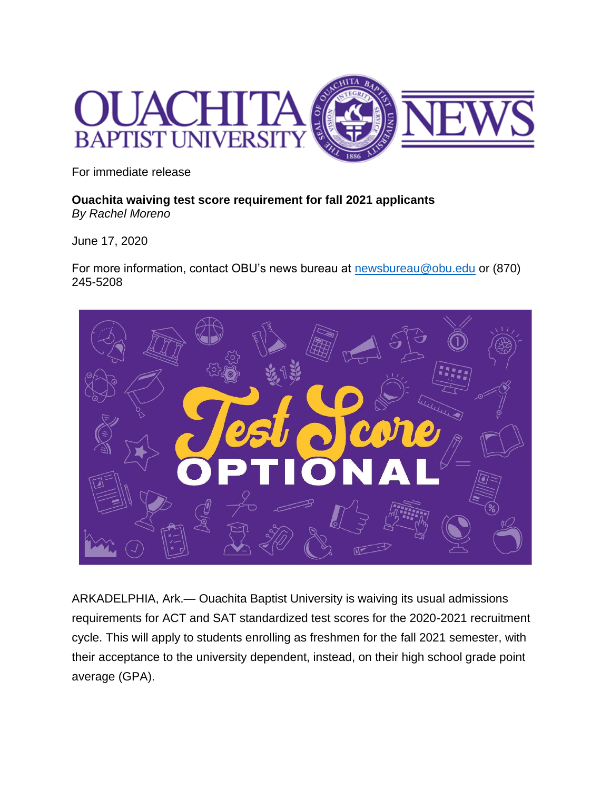

For immediate release

**Ouachita waiving test score requirement for fall 2021 applicants** *By Rachel Moreno*

June 17, 2020

For more information, contact OBU's news bureau at **newsbureau@obu.edu** or (870) 245-5208



ARKADELPHIA, Ark.— Ouachita Baptist University is waiving its usual admissions requirements for ACT and SAT standardized test scores for the 2020-2021 recruitment cycle. This will apply to students enrolling as freshmen for the fall 2021 semester, with their acceptance to the university dependent, instead, on their high school grade point average (GPA).